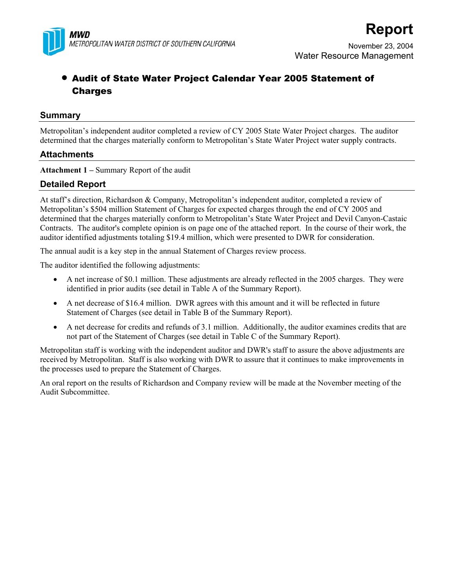

# • Audit of State Water Project Calendar Year 2005 Statement of Charges

# **Summary**

Metropolitan's independent auditor completed a review of CY 2005 State Water Project charges. The auditor determined that the charges materially conform to Metropolitan's State Water Project water supply contracts.

# **Attachments**

**Attachment 1 –** Summary Report of the audit

# **Detailed Report**

At staff's direction, Richardson & Company, Metropolitan's independent auditor, completed a review of Metropolitan's \$504 million Statement of Charges for expected charges through the end of CY 2005 and determined that the charges materially conform to Metropolitan's State Water Project and Devil Canyon-Castaic Contracts. The auditor's complete opinion is on page one of the attached report. In the course of their work, the auditor identified adjustments totaling \$19.4 million, which were presented to DWR for consideration.

The annual audit is a key step in the annual Statement of Charges review process.

The auditor identified the following adjustments:

- A net increase of \$0.1 million. These adjustments are already reflected in the 2005 charges. They were identified in prior audits (see detail in Table A of the Summary Report).
- A net decrease of \$16.4 million. DWR agrees with this amount and it will be reflected in future Statement of Charges (see detail in Table B of the Summary Report).
- A net decrease for credits and refunds of 3.1 million. Additionally, the auditor examines credits that are not part of the Statement of Charges (see detail in Table C of the Summary Report).

Metropolitan staff is working with the independent auditor and DWR's staff to assure the above adjustments are received by Metropolitan. Staff is also working with DWR to assure that it continues to make improvements in the processes used to prepare the Statement of Charges.

An oral report on the results of Richardson and Company review will be made at the November meeting of the Audit Subcommittee.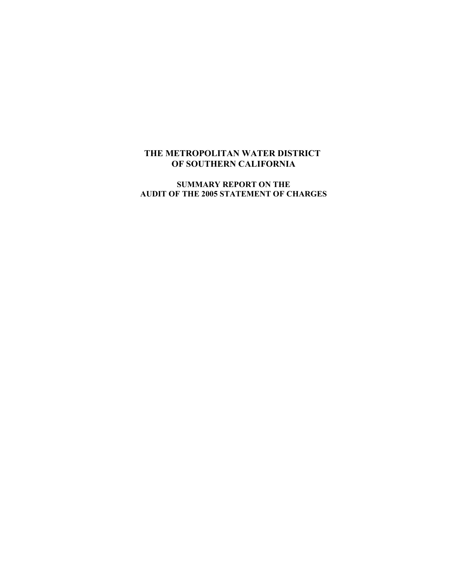# **THE METROPOLITAN WATER DISTRICT OF SOUTHERN CALIFORNIA**

**SUMMARY REPORT ON THE AUDIT OF THE 2005 STATEMENT OF CHARGES**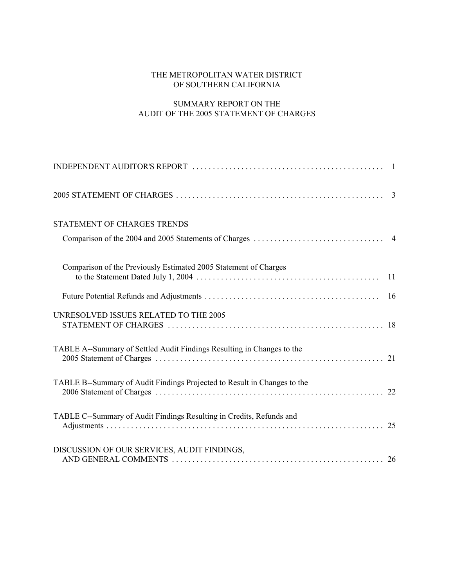## THE METROPOLITAN WATER DISTRICT OF SOUTHERN CALIFORNIA

# SUMMARY REPORT ON THE AUDIT OF THE 2005 STATEMENT OF CHARGES

|                                                                          | $\overline{3}$ |
|--------------------------------------------------------------------------|----------------|
| STATEMENT OF CHARGES TRENDS                                              |                |
| Comparison of the Previously Estimated 2005 Statement of Charges         | 11             |
|                                                                          | -16            |
| UNRESOLVED ISSUES RELATED TO THE 2005                                    |                |
| TABLE A--Summary of Settled Audit Findings Resulting in Changes to the   |                |
| TABLE B--Summary of Audit Findings Projected to Result in Changes to the |                |
| TABLE C--Summary of Audit Findings Resulting in Credits, Refunds and     |                |
| DISCUSSION OF OUR SERVICES, AUDIT FINDINGS,                              |                |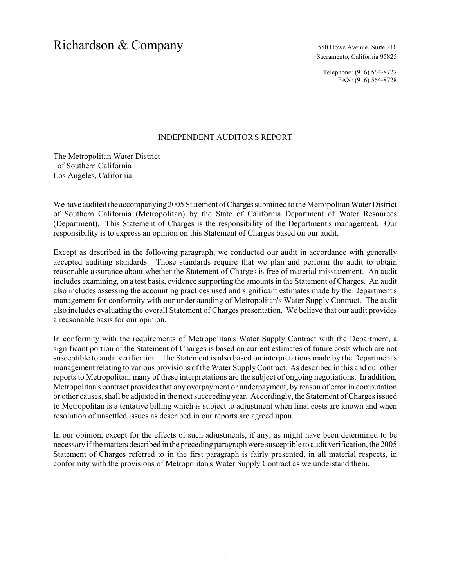# Richardson & Company 550 Howe Avenue, Suite 210

Sacramento, California 95825

Telephone: (916) 564-8727 FAX: (916) 564-8728

### INDEPENDENT AUDITOR'S REPORT

The Metropolitan Water District of Southern California Los Angeles, California

We have audited the accompanying 2005 Statement of Charges submitted to the Metropolitan Water District of Southern California (Metropolitan) by the State of California Department of Water Resources (Department). This Statement of Charges is the responsibility of the Department's management. Our responsibility is to express an opinion on this Statement of Charges based on our audit.

Except as described in the following paragraph, we conducted our audit in accordance with generally accepted auditing standards. Those standards require that we plan and perform the audit to obtain reasonable assurance about whether the Statement of Charges is free of material misstatement. An audit includes examining, on a test basis, evidence supporting the amounts in the Statement of Charges. An audit also includes assessing the accounting practices used and significant estimates made by the Department's management for conformity with our understanding of Metropolitan's Water Supply Contract. The audit also includes evaluating the overall Statement of Charges presentation. We believe that our audit provides a reasonable basis for our opinion.

In conformity with the requirements of Metropolitan's Water Supply Contract with the Department, a significant portion of the Statement of Charges is based on current estimates of future costs which are not susceptible to audit verification. The Statement is also based on interpretations made by the Department's management relating to various provisions of the Water Supply Contract. As described in this and our other reports to Metropolitan, many of these interpretations are the subject of ongoing negotiations. In addition, Metropolitan's contract provides that any overpayment or underpayment, by reason of error in computation or other causes, shall be adjusted in the next succeeding year. Accordingly, the Statement of Charges issued to Metropolitan is a tentative billing which is subject to adjustment when final costs are known and when resolution of unsettled issues as described in our reports are agreed upon.

In our opinion, except for the effects of such adjustments, if any, as might have been determined to be necessary if the matters described in the preceding paragraph were susceptible to audit verification, the 2005 Statement of Charges referred to in the first paragraph is fairly presented, in all material respects, in conformity with the provisions of Metropolitan's Water Supply Contract as we understand them.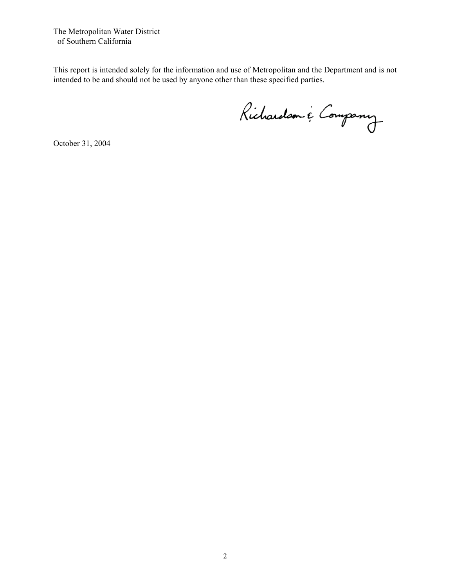The Metropolitan Water District of Southern California

This report is intended solely for the information and use of Metropolitan and the Department and is not intended to be and should not be used by anyone other than these specified parties.

Richardson & Company

October 31, 2004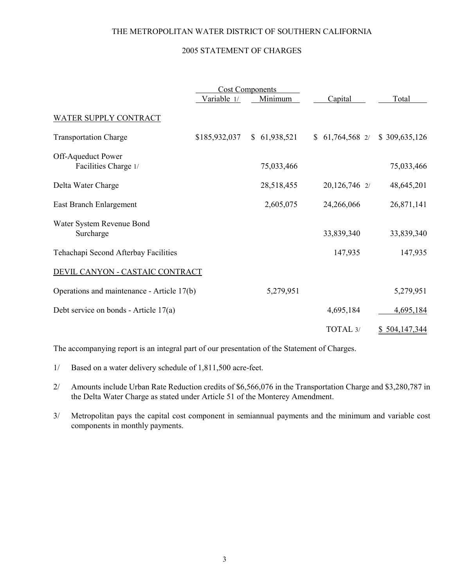## THE METROPOLITAN WATER DISTRICT OF SOUTHERN CALIFORNIA

## 2005 STATEMENT OF CHARGES

|                                            |               | <b>Cost Components</b> |                  |               |
|--------------------------------------------|---------------|------------------------|------------------|---------------|
|                                            | Variable 1/   | Minimum                | Capital          | Total         |
| <b>WATER SUPPLY CONTRACT</b>               |               |                        |                  |               |
| <b>Transportation Charge</b>               | \$185,932,037 | \$61,938,521           | $$61,764,568$ 2/ | \$309,635,126 |
| Off-Aqueduct Power<br>Facilities Charge 1/ |               | 75,033,466             |                  | 75,033,466    |
| Delta Water Charge                         |               | 28,518,455             | 20,126,746 2/    | 48,645,201    |
| East Branch Enlargement                    |               | 2,605,075              | 24,266,066       | 26,871,141    |
| Water System Revenue Bond<br>Surcharge     |               |                        | 33,839,340       | 33,839,340    |
| Tehachapi Second Afterbay Facilities       |               |                        | 147,935          | 147,935       |
| DEVIL CANYON - CASTAIC CONTRACT            |               |                        |                  |               |
| Operations and maintenance - Article 17(b) |               | 5,279,951              |                  | 5,279,951     |
| Debt service on bonds - Article 17(a)      |               |                        | 4,695,184        | 4,695,184     |
|                                            |               |                        | TOTAL 3/         | \$504,147,344 |
|                                            |               |                        |                  |               |

The accompanying report is an integral part of our presentation of the Statement of Charges.

- 1/ Based on a water delivery schedule of 1,811,500 acre-feet.
- 2/ Amounts include Urban Rate Reduction credits of \$6,566,076 in the Transportation Charge and \$3,280,787 in the Delta Water Charge as stated under Article 51 of the Monterey Amendment.
- 3/ Metropolitan pays the capital cost component in semiannual payments and the minimum and variable cost components in monthly payments.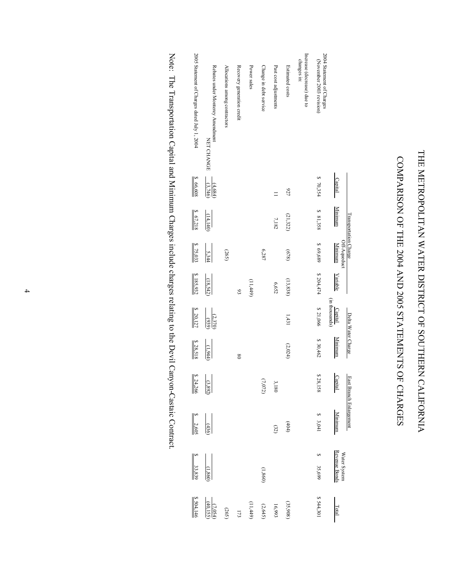# THE METROPOLITAN WATER DISTRICT OF SOUTHERN CALIFORNIA THE METROPOLITAN WATER DISTRICT OF SOUTHERN CALIFORNIA

# COMPARISON OF THE 2004 AND 2005 STATEMENTS OF CHARGES COMPARISON OF THE 2004 AND 2005 STATEMENTS OF CHARGES

| 2005 Statement of Charges dated July 1, 2004 | Rebates under Monterey Amendment<br>NET CHANGE | Allocations among contractors | Recovery generation credit | Power sales | Change in debt service | Past cost adjustments | Estimated costs | Increase (decrease) due to<br>changes in: | 2004 Statement of Charges<br>(November 2003 revision) |                               |                         |
|----------------------------------------------|------------------------------------------------|-------------------------------|----------------------------|-------------|------------------------|-----------------------|-----------------|-------------------------------------------|-------------------------------------------------------|-------------------------------|-------------------------|
| \$66,608                                     | $\frac{(4.684)}{(3.746)}$                      |                               |                            |             |                        | $\equiv$              | 727             |                                           | \$70,354                                              | Capital                       |                         |
| \$67,218                                     | (14, 140)                                      |                               |                            |             |                        | 7,182                 | (21,322)        |                                           | \$ 81,358                                             | Minimum                       |                         |
| \$75,033                                     | 5,344                                          | (265)                         |                            |             | 6,287                  |                       | (678)           |                                           | \$ 69,689                                             | Off-Aqueduct<br>Minimum       | Fransportation Charge   |
| \$185,932                                    | (18,542)                                       |                               | 93                         | (11,449)    |                        | 6,652                 | (13, 838)       |                                           | \$204,474                                             | Variable                      |                         |
| \$20,127                                     | (2,370)<br>(939)                               |                               |                            |             |                        |                       | 1,431           |                                           | \$ 21,066                                             | (in thousands)<br>Capital     |                         |
| \$28,518                                     | (1,944)                                        |                               | $\frac{8}{2}$              |             |                        |                       | (2,024)         |                                           | \$30,462                                              | Minimum                       | Delta Water Charge      |
| \$24,266                                     | (3,892)                                        |                               |                            |             | $(7.072)$              | 3,180                 |                 |                                           | \$28,158                                              | <b>Capital</b>                |                         |
| $\frac{5}{2,605}$                            | (436)                                          |                               |                            |             |                        | (32)                  | (404)           |                                           | \$3,041                                               | Minimum                       | East Branch Enlargement |
| \$3,839                                      | (1,860)                                        |                               |                            |             | (1,860)                |                       |                 |                                           | \$ 35,699                                             | Water System<br>Revenue Bonds |                         |
| \$504,146                                    | $\frac{(7,054)}{(40,155)}$                     | (265)                         | 172                        | (11,449)    | (2,645)                | 16,993                | (35,908)        |                                           | \$544,301                                             | Total                         |                         |

Note: The Transportation Capital and Minimum Charges include charges relating to the Devil Canyon-Castaic Contract. Note: The Transportation Capital and Minimum Charges include charges relating to the Devil Canyon-Castaic Contract.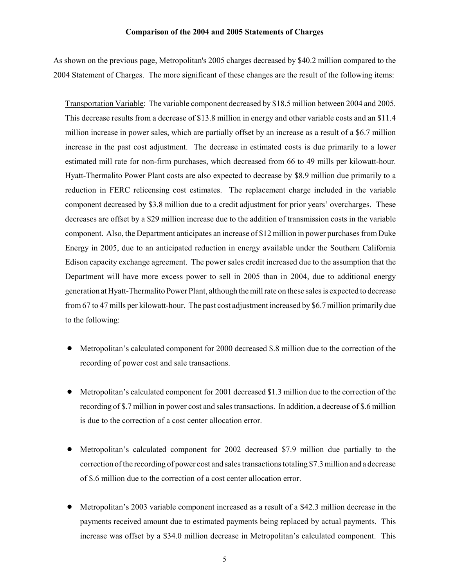### **Comparison of the 2004 and 2005 Statements of Charges**

As shown on the previous page, Metropolitan's 2005 charges decreased by \$40.2 million compared to the 2004 Statement of Charges. The more significant of these changes are the result of the following items:

Transportation Variable: The variable component decreased by \$18.5 million between 2004 and 2005. This decrease results from a decrease of \$13.8 million in energy and other variable costs and an \$11.4 million increase in power sales, which are partially offset by an increase as a result of a \$6.7 million increase in the past cost adjustment. The decrease in estimated costs is due primarily to a lower estimated mill rate for non-firm purchases, which decreased from 66 to 49 mills per kilowatt-hour. Hyatt-Thermalito Power Plant costs are also expected to decrease by \$8.9 million due primarily to a reduction in FERC relicensing cost estimates. The replacement charge included in the variable component decreased by \$3.8 million due to a credit adjustment for prior years' overcharges. These decreases are offset by a \$29 million increase due to the addition of transmission costs in the variable component. Also, the Department anticipates an increase of \$12 million in power purchases from Duke Energy in 2005, due to an anticipated reduction in energy available under the Southern California Edison capacity exchange agreement. The power sales credit increased due to the assumption that the Department will have more excess power to sell in 2005 than in 2004, due to additional energy generation at Hyatt-Thermalito Power Plant, although the mill rate on these sales is expected to decrease from 67 to 47 mills per kilowatt-hour. The past cost adjustment increased by \$6.7 million primarily due to the following:

- Metropolitan's calculated component for 2000 decreased \$.8 million due to the correction of the recording of power cost and sale transactions.
- ! Metropolitan's calculated component for 2001 decreased \$1.3 million due to the correction of the recording of \$.7 million in power cost and sales transactions. In addition, a decrease of \$.6 million is due to the correction of a cost center allocation error.
- ! Metropolitan's calculated component for 2002 decreased \$7.9 million due partially to the correction of the recording of power cost and sales transactions totaling \$7.3 million and a decrease of \$.6 million due to the correction of a cost center allocation error.
- ! Metropolitan's 2003 variable component increased as a result of a \$42.3 million decrease in the payments received amount due to estimated payments being replaced by actual payments. This increase was offset by a \$34.0 million decrease in Metropolitan's calculated component. This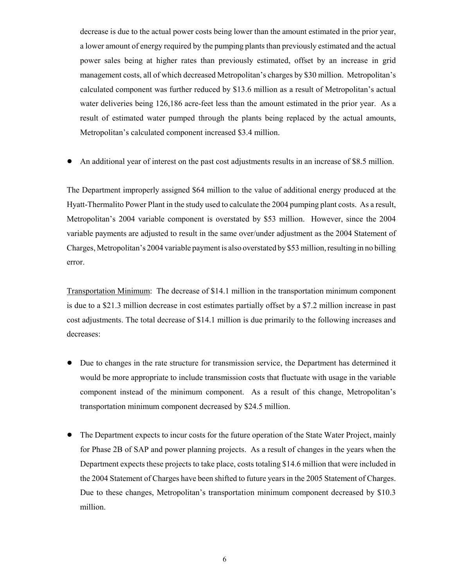decrease is due to the actual power costs being lower than the amount estimated in the prior year, a lower amount of energy required by the pumping plants than previously estimated and the actual power sales being at higher rates than previously estimated, offset by an increase in grid management costs, all of which decreased Metropolitan's charges by \$30 million. Metropolitan's calculated component was further reduced by \$13.6 million as a result of Metropolitan's actual water deliveries being 126,186 acre-feet less than the amount estimated in the prior year. As a result of estimated water pumped through the plants being replaced by the actual amounts, Metropolitan's calculated component increased \$3.4 million.

! An additional year of interest on the past cost adjustments results in an increase of \$8.5 million.

The Department improperly assigned \$64 million to the value of additional energy produced at the Hyatt-Thermalito Power Plant in the study used to calculate the 2004 pumping plant costs. As a result, Metropolitan's 2004 variable component is overstated by \$53 million. However, since the 2004 variable payments are adjusted to result in the same over/under adjustment as the 2004 Statement of Charges, Metropolitan's 2004 variable payment is also overstated by \$53 million, resulting in no billing error.

Transportation Minimum: The decrease of \$14.1 million in the transportation minimum component is due to a \$21.3 million decrease in cost estimates partially offset by a \$7.2 million increase in past cost adjustments. The total decrease of \$14.1 million is due primarily to the following increases and decreases:

- Due to changes in the rate structure for transmission service, the Department has determined it would be more appropriate to include transmission costs that fluctuate with usage in the variable component instead of the minimum component. As a result of this change, Metropolitan's transportation minimum component decreased by \$24.5 million.
- ! The Department expects to incur costs for the future operation of the State Water Project, mainly for Phase 2B of SAP and power planning projects. As a result of changes in the years when the Department expects these projects to take place, costs totaling \$14.6 million that were included in the 2004 Statement of Charges have been shifted to future years in the 2005 Statement of Charges. Due to these changes, Metropolitan's transportation minimum component decreased by \$10.3 million.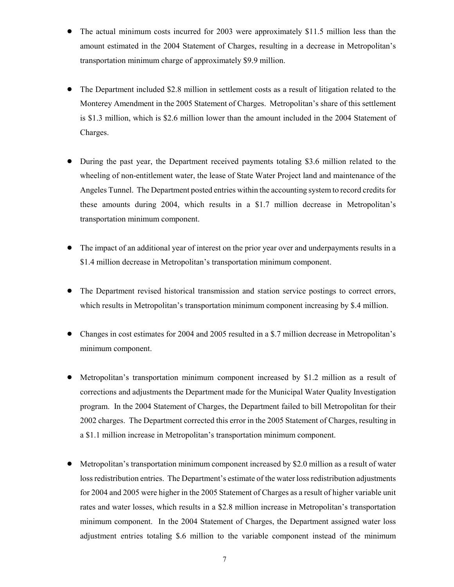- ! The actual minimum costs incurred for 2003 were approximately \$11.5 million less than the amount estimated in the 2004 Statement of Charges, resulting in a decrease in Metropolitan's transportation minimum charge of approximately \$9.9 million.
- ! The Department included \$2.8 million in settlement costs as a result of litigation related to the Monterey Amendment in the 2005 Statement of Charges. Metropolitan's share of this settlement is \$1.3 million, which is \$2.6 million lower than the amount included in the 2004 Statement of Charges.
- ! During the past year, the Department received payments totaling \$3.6 million related to the wheeling of non-entitlement water, the lease of State Water Project land and maintenance of the Angeles Tunnel. The Department posted entries within the accounting system to record credits for these amounts during 2004, which results in a \$1.7 million decrease in Metropolitan's transportation minimum component.
- ! The impact of an additional year of interest on the prior year over and underpayments results in a \$1.4 million decrease in Metropolitan's transportation minimum component.
- ! The Department revised historical transmission and station service postings to correct errors, which results in Metropolitan's transportation minimum component increasing by \$.4 million.
- ! Changes in cost estimates for 2004 and 2005 resulted in a \$.7 million decrease in Metropolitan's minimum component.
- ! Metropolitan's transportation minimum component increased by \$1.2 million as a result of corrections and adjustments the Department made for the Municipal Water Quality Investigation program. In the 2004 Statement of Charges, the Department failed to bill Metropolitan for their 2002 charges. The Department corrected this error in the 2005 Statement of Charges, resulting in a \$1.1 million increase in Metropolitan's transportation minimum component.
- ! Metropolitan's transportation minimum component increased by \$2.0 million as a result of water loss redistribution entries. The Department's estimate of the water loss redistribution adjustments for 2004 and 2005 were higher in the 2005 Statement of Charges as a result of higher variable unit rates and water losses, which results in a \$2.8 million increase in Metropolitan's transportation minimum component. In the 2004 Statement of Charges, the Department assigned water loss adjustment entries totaling \$.6 million to the variable component instead of the minimum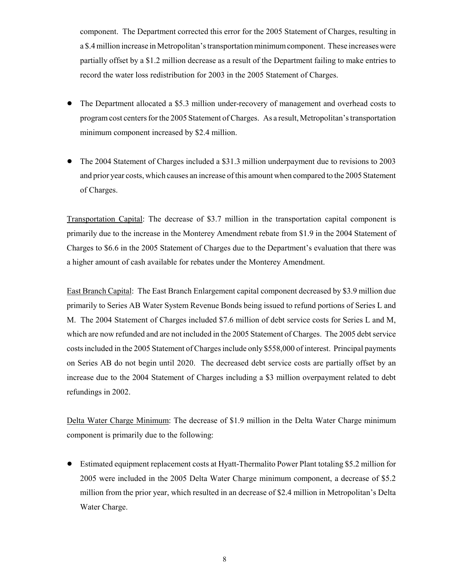component. The Department corrected this error for the 2005 Statement of Charges, resulting in a \$.4 million increase in Metropolitan's transportation minimum component. These increases were partially offset by a \$1.2 million decrease as a result of the Department failing to make entries to record the water loss redistribution for 2003 in the 2005 Statement of Charges.

- ! The Department allocated a \$5.3 million under-recovery of management and overhead costs to program cost centers for the 2005 Statement of Charges. As a result, Metropolitan's transportation minimum component increased by \$2.4 million.
- ! The 2004 Statement of Charges included a \$31.3 million underpayment due to revisions to 2003 and prior year costs, which causes an increase of this amount when compared to the 2005 Statement of Charges.

Transportation Capital: The decrease of \$3.7 million in the transportation capital component is primarily due to the increase in the Monterey Amendment rebate from \$1.9 in the 2004 Statement of Charges to \$6.6 in the 2005 Statement of Charges due to the Department's evaluation that there was a higher amount of cash available for rebates under the Monterey Amendment.

East Branch Capital: The East Branch Enlargement capital component decreased by \$3.9 million due primarily to Series AB Water System Revenue Bonds being issued to refund portions of Series L and M. The 2004 Statement of Charges included \$7.6 million of debt service costs for Series L and M, which are now refunded and are not included in the 2005 Statement of Charges. The 2005 debt service costs included in the 2005 Statement of Charges include only \$558,000 of interest. Principal payments on Series AB do not begin until 2020. The decreased debt service costs are partially offset by an increase due to the 2004 Statement of Charges including a \$3 million overpayment related to debt refundings in 2002.

Delta Water Charge Minimum: The decrease of \$1.9 million in the Delta Water Charge minimum component is primarily due to the following:

! Estimated equipment replacement costs at Hyatt-Thermalito Power Plant totaling \$5.2 million for 2005 were included in the 2005 Delta Water Charge minimum component, a decrease of \$5.2 million from the prior year, which resulted in an decrease of \$2.4 million in Metropolitan's Delta Water Charge.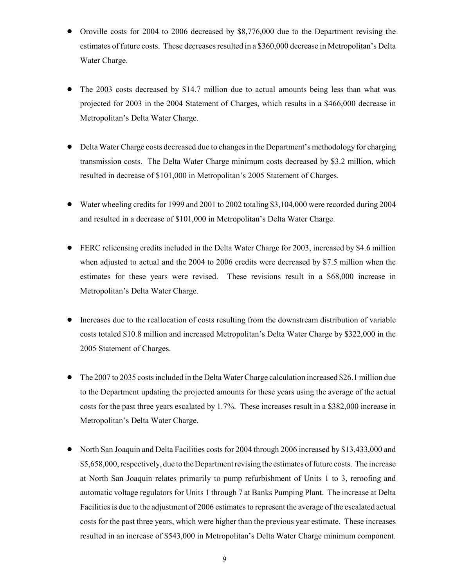- Oroville costs for 2004 to 2006 decreased by \$8,776,000 due to the Department revising the estimates of future costs. These decreases resulted in a \$360,000 decrease in Metropolitan's Delta Water Charge.
- ! The 2003 costs decreased by \$14.7 million due to actual amounts being less than what was projected for 2003 in the 2004 Statement of Charges, which results in a \$466,000 decrease in Metropolitan's Delta Water Charge.
- ! Delta Water Charge costs decreased due to changes in the Department's methodology for charging transmission costs. The Delta Water Charge minimum costs decreased by \$3.2 million, which resulted in decrease of \$101,000 in Metropolitan's 2005 Statement of Charges.
- ! Water wheeling credits for 1999 and 2001 to 2002 totaling \$3,104,000 were recorded during 2004 and resulted in a decrease of \$101,000 in Metropolitan's Delta Water Charge.
- ! FERC relicensing credits included in the Delta Water Charge for 2003, increased by \$4.6 million when adjusted to actual and the 2004 to 2006 credits were decreased by \$7.5 million when the estimates for these years were revised. These revisions result in a \$68,000 increase in Metropolitan's Delta Water Charge.
- ! Increases due to the reallocation of costs resulting from the downstream distribution of variable costs totaled \$10.8 million and increased Metropolitan's Delta Water Charge by \$322,000 in the 2005 Statement of Charges.
- ! The 2007 to 2035 costs included in the Delta Water Charge calculation increased \$26.1 million due to the Department updating the projected amounts for these years using the average of the actual costs for the past three years escalated by 1.7%. These increases result in a \$382,000 increase in Metropolitan's Delta Water Charge.
- ! North San Joaquin and Delta Facilities costs for 2004 through 2006 increased by \$13,433,000 and \$5,658,000, respectively, due to the Department revising the estimates of future costs. The increase at North San Joaquin relates primarily to pump refurbishment of Units 1 to 3, reroofing and automatic voltage regulators for Units 1 through 7 at Banks Pumping Plant. The increase at Delta Facilities is due to the adjustment of 2006 estimates to represent the average of the escalated actual costs for the past three years, which were higher than the previous year estimate. These increases resulted in an increase of \$543,000 in Metropolitan's Delta Water Charge minimum component.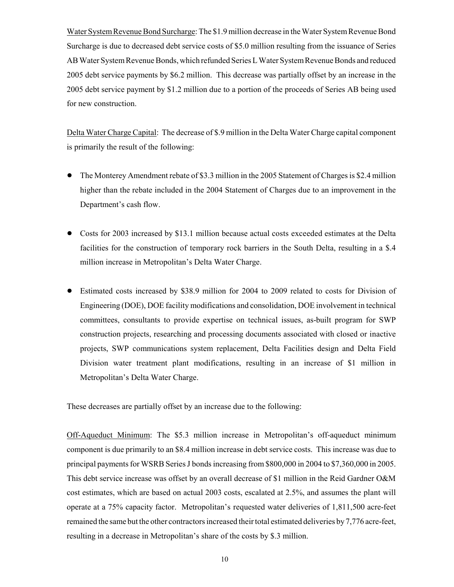Water System Revenue Bond Surcharge: The \$1.9 million decrease in the Water System Revenue Bond Surcharge is due to decreased debt service costs of \$5.0 million resulting from the issuance of Series AB Water System Revenue Bonds, which refunded Series L Water System Revenue Bonds and reduced 2005 debt service payments by \$6.2 million. This decrease was partially offset by an increase in the 2005 debt service payment by \$1.2 million due to a portion of the proceeds of Series AB being used for new construction.

Delta Water Charge Capital: The decrease of \$.9 million in the Delta Water Charge capital component is primarily the result of the following:

- The Monterey Amendment rebate of \$3.3 million in the 2005 Statement of Charges is \$2.4 million higher than the rebate included in the 2004 Statement of Charges due to an improvement in the Department's cash flow.
- Costs for 2003 increased by \$13.1 million because actual costs exceeded estimates at the Delta facilities for the construction of temporary rock barriers in the South Delta, resulting in a \$.4 million increase in Metropolitan's Delta Water Charge.
- ! Estimated costs increased by \$38.9 million for 2004 to 2009 related to costs for Division of Engineering (DOE), DOE facility modifications and consolidation, DOE involvement in technical committees, consultants to provide expertise on technical issues, as-built program for SWP construction projects, researching and processing documents associated with closed or inactive projects, SWP communications system replacement, Delta Facilities design and Delta Field Division water treatment plant modifications, resulting in an increase of \$1 million in Metropolitan's Delta Water Charge.

These decreases are partially offset by an increase due to the following:

Off-Aqueduct Minimum: The \$5.3 million increase in Metropolitan's off-aqueduct minimum component is due primarily to an \$8.4 million increase in debt service costs. This increase was due to principal payments for WSRB Series J bonds increasing from \$800,000 in 2004 to \$7,360,000 in 2005. This debt service increase was offset by an overall decrease of \$1 million in the Reid Gardner O&M cost estimates, which are based on actual 2003 costs, escalated at 2.5%, and assumes the plant will operate at a 75% capacity factor. Metropolitan's requested water deliveries of 1,811,500 acre-feet remained the same but the other contractors increased their total estimated deliveries by 7,776 acre-feet, resulting in a decrease in Metropolitan's share of the costs by \$.3 million.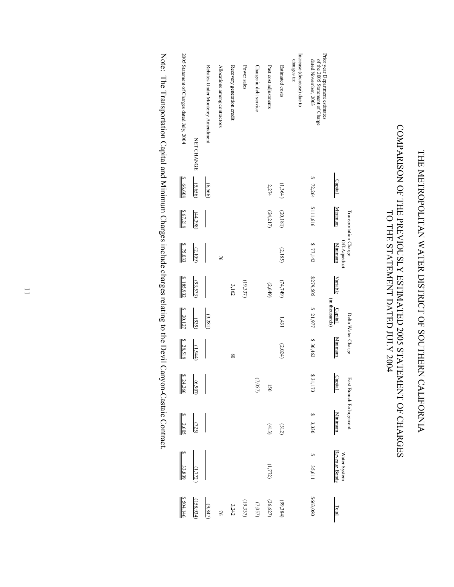# THE METROPOLITAN WATER DISTRICT OF SOUTHERN CALIFORNIA THE METROPOLITAN WATER DISTRICT OF SOUTHERN CALIFORNIA

# COMPARISON OF THE PREVIOUSLY ESTIMATED 2005 STATEMENT OF CHARGES COMPARISON OF THE PREVIOUSLY ESTIMATED 2005 STATEMENT OF CHARGES TO THE STATEMENT DATED JULY 2004 TO THE STATEMENT DATED JULY 2004

|                                                                                            | Capital     | Minimum<br>Transportation Charge | Off-Aqueduct<br><b>Minimum</b> | Variable   | (in thousands)<br>Capital | Delta Water Charge<br><b>Minimum</b> | Capital         | East Branch Enlargement<br>Minimum | <b>Revenue Bonds</b><br>Water System | Total      |
|--------------------------------------------------------------------------------------------|-------------|----------------------------------|--------------------------------|------------|---------------------------|--------------------------------------|-----------------|------------------------------------|--------------------------------------|------------|
| Prior year Department estimates<br>of the 2005 Statement of Charge<br>dated November, 2003 | S<br>72,264 | \$111,616                        | \$77,142                       | \$279,505  | \$ 21,977                 | \$30,462                             | \$31,173        | \$3,330                            | ⊷<br>35,611                          | \$663,080  |
| Increase (decrease) due to<br>changes in:                                                  |             |                                  |                                |            |                           |                                      |                 |                                    |                                      |            |
| Estimated costs                                                                            | (1,364)     | (20, 181)                        | (2,185)                        | (74, 749)  | 1,431                     | (2,024)                              |                 | $(312)$                            |                                      | (99,384)   |
| Past cost adjustments                                                                      | 2,274       | (24,217)                         |                                | (2,649)    |                           |                                      | $\overline{50}$ | (413)                              | (1,772)                              | (26, 627)  |
| Change in debt service                                                                     |             |                                  |                                |            |                           |                                      | $(7.057)$       |                                    |                                      | $(7.057)$  |
| Power sales                                                                                |             |                                  |                                | (19,337)   |                           |                                      |                 |                                    |                                      | (19, 337)  |
| Recovery generation credit                                                                 |             |                                  |                                | 3,162      |                           | $\frac{8}{2}$                        |                 |                                    |                                      | 3,242      |
| Allocations among contractors                                                              |             |                                  | $\overline{5}$                 |            |                           |                                      |                 |                                    |                                      | 76         |
| Rebates Under Monterey Amendment                                                           | (6,566)     |                                  |                                |            | (3,281)                   |                                      |                 |                                    |                                      | (9,847)    |
| NET CHANGE                                                                                 | (5,656)     | (44,398)                         | (2,109)                        | (93,573)   | (939)                     | (1,944)                              | (6,907)         | (725)                              | 1,772                                | (158, 934) |
| 2005 Statement of Charges dated July, 2004                                                 | \$66,608    | \$67,218                         | \$75,033                       | \$ 185,932 | \$20,127                  | \$ 28,518                            | 824,266         | $8 \quad 2,605$                    | 33,839                               | \$504,146  |
|                                                                                            |             |                                  |                                |            |                           |                                      |                 |                                    |                                      |            |

Note: The Transportation Capital and Minimum Charges include charges relating to the Devil Canyon-Castaic Contract. Note: The Transportation Capital and Minimum Charges include charges relating to the Devil Canyon-Castaic Contract.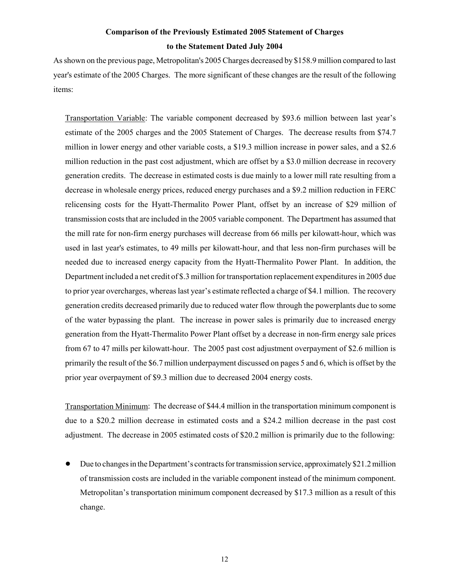# **Comparison of the Previously Estimated 2005 Statement of Charges to the Statement Dated July 2004**

As shown on the previous page, Metropolitan's 2005 Charges decreased by \$158.9 million compared to last year's estimate of the 2005 Charges. The more significant of these changes are the result of the following items:

Transportation Variable: The variable component decreased by \$93.6 million between last year's estimate of the 2005 charges and the 2005 Statement of Charges. The decrease results from \$74.7 million in lower energy and other variable costs, a \$19.3 million increase in power sales, and a \$2.6 million reduction in the past cost adjustment, which are offset by a \$3.0 million decrease in recovery generation credits. The decrease in estimated costs is due mainly to a lower mill rate resulting from a decrease in wholesale energy prices, reduced energy purchases and a \$9.2 million reduction in FERC relicensing costs for the Hyatt-Thermalito Power Plant, offset by an increase of \$29 million of transmission costs that are included in the 2005 variable component. The Department has assumed that the mill rate for non-firm energy purchases will decrease from 66 mills per kilowatt-hour, which was used in last year's estimates, to 49 mills per kilowatt-hour, and that less non-firm purchases will be needed due to increased energy capacity from the Hyatt-Thermalito Power Plant. In addition, the Department included a net credit of \$.3 million for transportation replacement expenditures in 2005 due to prior year overcharges, whereas last year's estimate reflected a charge of \$4.1 million. The recovery generation credits decreased primarily due to reduced water flow through the powerplants due to some of the water bypassing the plant. The increase in power sales is primarily due to increased energy generation from the Hyatt-Thermalito Power Plant offset by a decrease in non-firm energy sale prices from 67 to 47 mills per kilowatt-hour. The 2005 past cost adjustment overpayment of \$2.6 million is primarily the result of the \$6.7 million underpayment discussed on pages 5 and 6, which is offset by the prior year overpayment of \$9.3 million due to decreased 2004 energy costs.

Transportation Minimum: The decrease of \$44.4 million in the transportation minimum component is due to a \$20.2 million decrease in estimated costs and a \$24.2 million decrease in the past cost adjustment. The decrease in 2005 estimated costs of \$20.2 million is primarily due to the following:

! Due to changes in the Department's contracts for transmission service, approximately \$21.2 million of transmission costs are included in the variable component instead of the minimum component. Metropolitan's transportation minimum component decreased by \$17.3 million as a result of this change.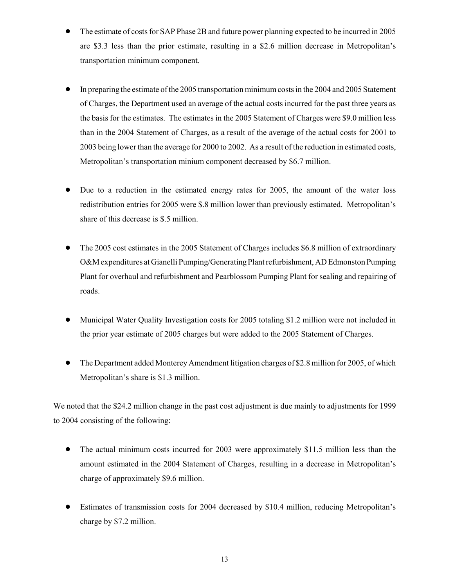- ! The estimate of costs for SAP Phase 2B and future power planning expected to be incurred in 2005 are \$3.3 less than the prior estimate, resulting in a \$2.6 million decrease in Metropolitan's transportation minimum component.
- ! In preparing the estimate of the 2005 transportation minimum costs in the 2004 and 2005 Statement of Charges, the Department used an average of the actual costs incurred for the past three years as the basis for the estimates. The estimates in the 2005 Statement of Charges were \$9.0 million less than in the 2004 Statement of Charges, as a result of the average of the actual costs for 2001 to 2003 being lower than the average for 2000 to 2002. As a result of the reduction in estimated costs, Metropolitan's transportation minium component decreased by \$6.7 million.
- ! Due to a reduction in the estimated energy rates for 2005, the amount of the water loss redistribution entries for 2005 were \$.8 million lower than previously estimated. Metropolitan's share of this decrease is \$.5 million.
- ! The 2005 cost estimates in the 2005 Statement of Charges includes \$6.8 million of extraordinary O&M expenditures at Gianelli Pumping/Generating Plant refurbishment, AD Edmonston Pumping Plant for overhaul and refurbishment and Pearblossom Pumping Plant for sealing and repairing of roads.
- ! Municipal Water Quality Investigation costs for 2005 totaling \$1.2 million were not included in the prior year estimate of 2005 charges but were added to the 2005 Statement of Charges.
- ! The Department added Monterey Amendment litigation charges of \$2.8 million for 2005, of which Metropolitan's share is \$1.3 million.

We noted that the \$24.2 million change in the past cost adjustment is due mainly to adjustments for 1999 to 2004 consisting of the following:

- ! The actual minimum costs incurred for 2003 were approximately \$11.5 million less than the amount estimated in the 2004 Statement of Charges, resulting in a decrease in Metropolitan's charge of approximately \$9.6 million.
- ! Estimates of transmission costs for 2004 decreased by \$10.4 million, reducing Metropolitan's charge by \$7.2 million.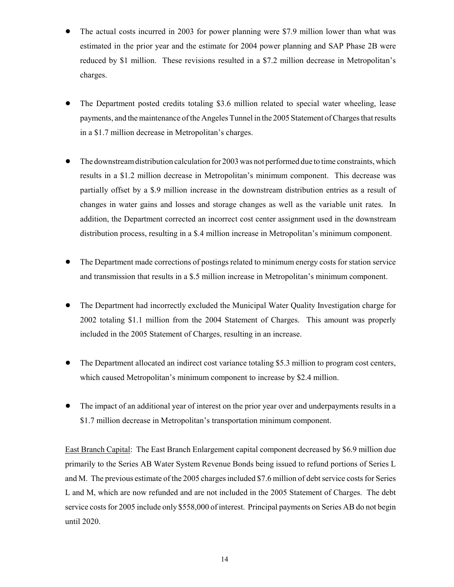- ! The actual costs incurred in 2003 for power planning were \$7.9 million lower than what was estimated in the prior year and the estimate for 2004 power planning and SAP Phase 2B were reduced by \$1 million. These revisions resulted in a \$7.2 million decrease in Metropolitan's charges.
- ! The Department posted credits totaling \$3.6 million related to special water wheeling, lease payments, and the maintenance of the Angeles Tunnel in the 2005 Statement of Charges that results in a \$1.7 million decrease in Metropolitan's charges.
- ! The downstream distribution calculation for 2003 was not performed due to time constraints, which results in a \$1.2 million decrease in Metropolitan's minimum component. This decrease was partially offset by a \$.9 million increase in the downstream distribution entries as a result of changes in water gains and losses and storage changes as well as the variable unit rates. In addition, the Department corrected an incorrect cost center assignment used in the downstream distribution process, resulting in a \$.4 million increase in Metropolitan's minimum component.
- ! The Department made corrections of postings related to minimum energy costs for station service and transmission that results in a \$.5 million increase in Metropolitan's minimum component.
- ! The Department had incorrectly excluded the Municipal Water Quality Investigation charge for 2002 totaling \$1.1 million from the 2004 Statement of Charges. This amount was properly included in the 2005 Statement of Charges, resulting in an increase.
- ! The Department allocated an indirect cost variance totaling \$5.3 million to program cost centers, which caused Metropolitan's minimum component to increase by \$2.4 million.
- The impact of an additional year of interest on the prior year over and underpayments results in a \$1.7 million decrease in Metropolitan's transportation minimum component.

East Branch Capital: The East Branch Enlargement capital component decreased by \$6.9 million due primarily to the Series AB Water System Revenue Bonds being issued to refund portions of Series L and M. The previous estimate of the 2005 charges included \$7.6 million of debt service costs for Series L and M, which are now refunded and are not included in the 2005 Statement of Charges. The debt service costs for 2005 include only \$558,000 of interest. Principal payments on Series AB do not begin until 2020.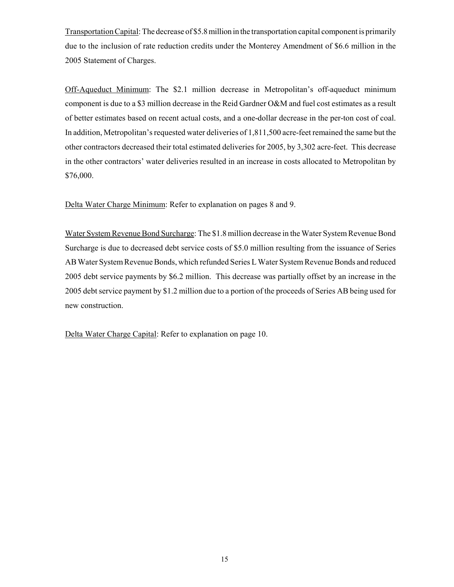Transportation Capital: The decrease of \$5.8 million in the transportation capital component is primarily due to the inclusion of rate reduction credits under the Monterey Amendment of \$6.6 million in the 2005 Statement of Charges.

Off-Aqueduct Minimum: The \$2.1 million decrease in Metropolitan's off-aqueduct minimum component is due to a \$3 million decrease in the Reid Gardner O&M and fuel cost estimates as a result of better estimates based on recent actual costs, and a one-dollar decrease in the per-ton cost of coal. In addition, Metropolitan's requested water deliveries of 1,811,500 acre-feet remained the same but the other contractors decreased their total estimated deliveries for 2005, by 3,302 acre-feet. This decrease in the other contractors' water deliveries resulted in an increase in costs allocated to Metropolitan by \$76,000.

Delta Water Charge Minimum: Refer to explanation on pages 8 and 9.

Water System Revenue Bond Surcharge: The \$1.8 million decrease in the Water System Revenue Bond Surcharge is due to decreased debt service costs of \$5.0 million resulting from the issuance of Series AB Water System Revenue Bonds, which refunded Series L Water System Revenue Bonds and reduced 2005 debt service payments by \$6.2 million. This decrease was partially offset by an increase in the 2005 debt service payment by \$1.2 million due to a portion of the proceeds of Series AB being used for new construction.

Delta Water Charge Capital: Refer to explanation on page 10.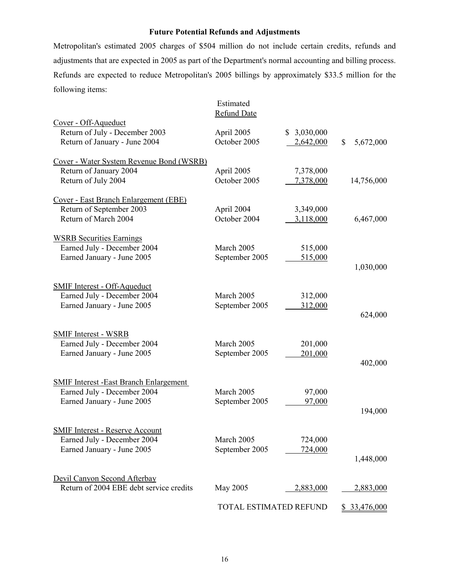### **Future Potential Refunds and Adjustments**

Metropolitan's estimated 2005 charges of \$504 million do not include certain credits, refunds and adjustments that are expected in 2005 as part of the Department's normal accounting and billing process. Refunds are expected to reduce Metropolitan's 2005 billings by approximately \$33.5 million for the following items:

|                                                                                                            | Estimated<br><b>Refund Date</b> |                          |                     |
|------------------------------------------------------------------------------------------------------------|---------------------------------|--------------------------|---------------------|
| Cover - Off-Aqueduct<br>Return of July - December 2003<br>Return of January - June 2004                    | April 2005<br>October 2005      | \$3,030,000<br>2,642,000 | \$<br>5,672,000     |
| Cover - Water System Revenue Bond (WSRB)<br>Return of January 2004<br>Return of July 2004                  | April 2005<br>October 2005      | 7,378,000<br>7,378,000   | 14,756,000          |
| Cover - East Branch Enlargement (EBE)<br>Return of September 2003<br>Return of March 2004                  | April 2004<br>October 2004      | 3,349,000<br>3,118,000   | 6,467,000           |
| <b>WSRB Securities Earnings</b><br>Earned July - December 2004<br>Earned January - June 2005               | March 2005<br>September 2005    | 515,000<br>515,000       | 1,030,000           |
| <b>SMIF Interest - Off-Aqueduct</b><br>Earned July - December 2004<br>Earned January - June 2005           | March 2005<br>September 2005    | 312,000<br>312,000       | 624,000             |
| <b>SMIF Interest - WSRB</b><br>Earned July - December 2004<br>Earned January - June 2005                   | March 2005<br>September 2005    | 201,000<br>201,000       | 402,000             |
| <b>SMIF Interest -East Branch Enlargement</b><br>Earned July - December 2004<br>Earned January - June 2005 | March 2005<br>September 2005    | 97,000<br>97,000         | 194,000             |
| <b>SMIF Interest - Reserve Account</b><br>Earned July - December 2004<br>Earned January - June 2005        | March 2005<br>September 2005    | 724,000<br>724,000       | 1,448,000           |
| Devil Canyon Second Afterbay<br>Return of 2004 EBE debt service credits                                    | May 2005                        | 2,883,000                | 2,883,000           |
|                                                                                                            | TOTAL ESTIMATED REFUND          |                          | <u>\$33,476,000</u> |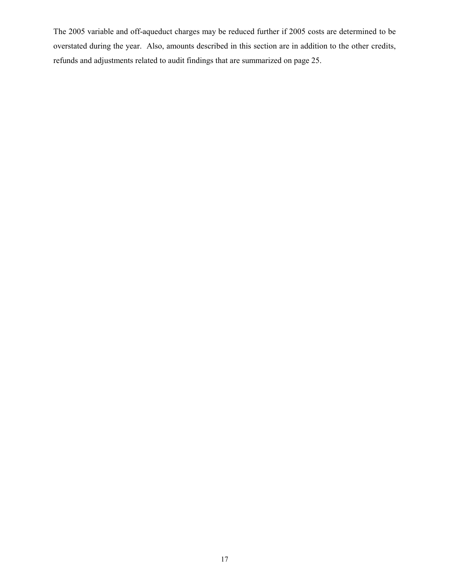The 2005 variable and off-aqueduct charges may be reduced further if 2005 costs are determined to be overstated during the year. Also, amounts described in this section are in addition to the other credits, refunds and adjustments related to audit findings that are summarized on page 25.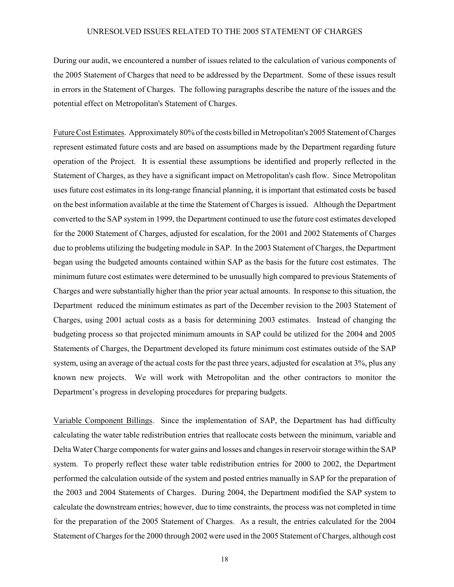### UNRESOLVED ISSUES RELATED TO THE 2005 STATEMENT OF CHARGES

During our audit, we encountered a number of issues related to the calculation of various components of the 2005 Statement of Charges that need to be addressed by the Department. Some of these issues result in errors in the Statement of Charges. The following paragraphs describe the nature of the issues and the potential effect on Metropolitan's Statement of Charges.

Future Cost Estimates. Approximately 80% of the costs billed in Metropolitan's 2005 Statement of Charges represent estimated future costs and are based on assumptions made by the Department regarding future operation of the Project. It is essential these assumptions be identified and properly reflected in the Statement of Charges, as they have a significant impact on Metropolitan's cash flow. Since Metropolitan uses future cost estimates in its long-range financial planning, it is important that estimated costs be based on the best information available at the time the Statement of Charges is issued. Although the Department converted to the SAP system in 1999, the Department continued to use the future cost estimates developed for the 2000 Statement of Charges, adjusted for escalation, for the 2001 and 2002 Statements of Charges due to problems utilizing the budgeting module in SAP. In the 2003 Statement of Charges, the Department began using the budgeted amounts contained within SAP as the basis for the future cost estimates. The minimum future cost estimates were determined to be unusually high compared to previous Statements of Charges and were substantially higher than the prior year actual amounts. In response to this situation, the Department reduced the minimum estimates as part of the December revision to the 2003 Statement of Charges, using 2001 actual costs as a basis for determining 2003 estimates. Instead of changing the budgeting process so that projected minimum amounts in SAP could be utilized for the 2004 and 2005 Statements of Charges, the Department developed its future minimum cost estimates outside of the SAP system, using an average of the actual costs for the past three years, adjusted for escalation at 3%, plus any known new projects. We will work with Metropolitan and the other contractors to monitor the Department's progress in developing procedures for preparing budgets.

Variable Component Billings. Since the implementation of SAP, the Department has had difficulty calculating the water table redistribution entries that reallocate costs between the minimum, variable and Delta Water Charge components for water gains and losses and changes in reservoir storage within the SAP system. To properly reflect these water table redistribution entries for 2000 to 2002, the Department performed the calculation outside of the system and posted entries manually in SAP for the preparation of the 2003 and 2004 Statements of Charges. During 2004, the Department modified the SAP system to calculate the downstream entries; however, due to time constraints, the process was not completed in time for the preparation of the 2005 Statement of Charges. As a result, the entries calculated for the 2004 Statement of Charges for the 2000 through 2002 were used in the 2005 Statement of Charges, although cost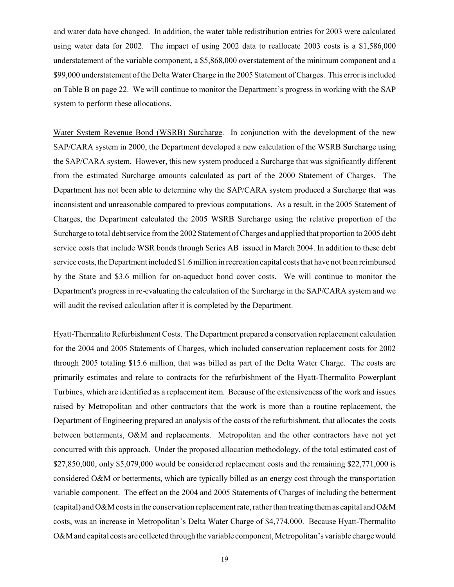and water data have changed. In addition, the water table redistribution entries for 2003 were calculated using water data for 2002. The impact of using 2002 data to reallocate 2003 costs is a \$1,586,000 understatement of the variable component, a \$5,868,000 overstatement of the minimum component and a \$99,000 understatement of the Delta Water Charge in the 2005 Statement of Charges. This error is included on Table B on page 22. We will continue to monitor the Department's progress in working with the SAP system to perform these allocations.

Water System Revenue Bond (WSRB) Surcharge. In conjunction with the development of the new SAP/CARA system in 2000, the Department developed a new calculation of the WSRB Surcharge using the SAP/CARA system. However, this new system produced a Surcharge that was significantly different from the estimated Surcharge amounts calculated as part of the 2000 Statement of Charges. The Department has not been able to determine why the SAP/CARA system produced a Surcharge that was inconsistent and unreasonable compared to previous computations. As a result, in the 2005 Statement of Charges, the Department calculated the 2005 WSRB Surcharge using the relative proportion of the Surcharge to total debt service from the 2002 Statement of Charges and applied that proportion to 2005 debt service costs that include WSR bonds through Series AB issued in March 2004. In addition to these debt service costs, the Department included \$1.6 million in recreation capital costs that have not been reimbursed by the State and \$3.6 million for on-aqueduct bond cover costs. We will continue to monitor the Department's progress in re-evaluating the calculation of the Surcharge in the SAP/CARA system and we will audit the revised calculation after it is completed by the Department.

Hyatt-Thermalito Refurbishment Costs. The Department prepared a conservation replacement calculation for the 2004 and 2005 Statements of Charges, which included conservation replacement costs for 2002 through 2005 totaling \$15.6 million, that was billed as part of the Delta Water Charge. The costs are primarily estimates and relate to contracts for the refurbishment of the Hyatt-Thermalito Powerplant Turbines, which are identified as a replacement item. Because of the extensiveness of the work and issues raised by Metropolitan and other contractors that the work is more than a routine replacement, the Department of Engineering prepared an analysis of the costs of the refurbishment, that allocates the costs between betterments, O&M and replacements. Metropolitan and the other contractors have not yet concurred with this approach. Under the proposed allocation methodology, of the total estimated cost of \$27,850,000, only \$5,079,000 would be considered replacement costs and the remaining \$22,771,000 is considered O&M or betterments, which are typically billed as an energy cost through the transportation variable component. The effect on the 2004 and 2005 Statements of Charges of including the betterment (capital) and O&M costs in the conservation replacement rate, rather than treating them as capital and O&M costs, was an increase in Metropolitan's Delta Water Charge of \$4,774,000. Because Hyatt-Thermalito O&M and capital costs are collected through the variable component, Metropolitan's variable charge would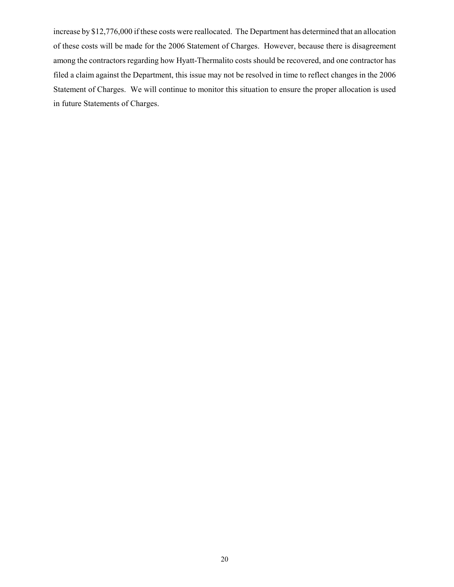increase by \$12,776,000 if these costs were reallocated. The Department has determined that an allocation of these costs will be made for the 2006 Statement of Charges. However, because there is disagreement among the contractors regarding how Hyatt-Thermalito costs should be recovered, and one contractor has filed a claim against the Department, this issue may not be resolved in time to reflect changes in the 2006 Statement of Charges. We will continue to monitor this situation to ensure the proper allocation is used in future Statements of Charges.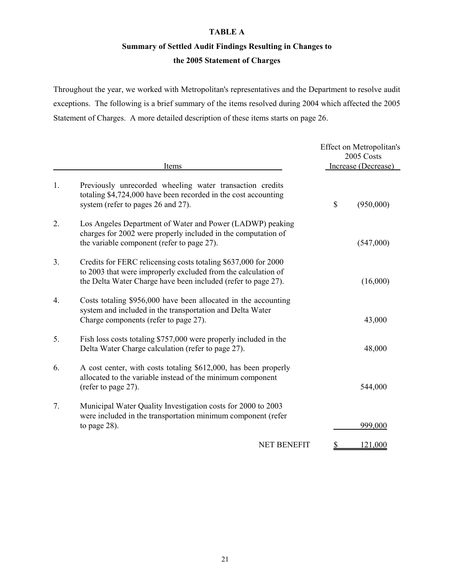### **TABLE A**

# **Summary of Settled Audit Findings Resulting in Changes to**

## **the 2005 Statement of Charges**

Throughout the year, we worked with Metropolitan's representatives and the Department to resolve audit exceptions. The following is a brief summary of the items resolved during 2004 which affected the 2005 Statement of Charges. A more detailed description of these items starts on page 26.

|                  | Items                                                                                                                                                                                            | Effect on Metropolitan's<br>2005 Costs<br>Increase (Decrease) |
|------------------|--------------------------------------------------------------------------------------------------------------------------------------------------------------------------------------------------|---------------------------------------------------------------|
| 1.               | Previously unrecorded wheeling water transaction credits<br>totaling \$4,724,000 have been recorded in the cost accounting<br>system (refer to pages 26 and 27).                                 | \$<br>(950,000)                                               |
| 2.               | Los Angeles Department of Water and Power (LADWP) peaking<br>charges for 2002 were properly included in the computation of<br>the variable component (refer to page 27).                         | (547,000)                                                     |
| 3.               | Credits for FERC relicensing costs totaling \$637,000 for 2000<br>to 2003 that were improperly excluded from the calculation of<br>the Delta Water Charge have been included (refer to page 27). | (16,000)                                                      |
| $\overline{4}$ . | Costs totaling \$956,000 have been allocated in the accounting<br>system and included in the transportation and Delta Water<br>Charge components (refer to page 27).                             | 43,000                                                        |
| 5.               | Fish loss costs totaling \$757,000 were properly included in the<br>Delta Water Charge calculation (refer to page 27).                                                                           | 48,000                                                        |
| 6.               | A cost center, with costs totaling \$612,000, has been properly<br>allocated to the variable instead of the minimum component<br>(refer to page 27).                                             | 544,000                                                       |
| 7.               | Municipal Water Quality Investigation costs for 2000 to 2003<br>were included in the transportation minimum component (refer<br>to page $28$ ).                                                  | 999,000                                                       |
|                  | <b>NET BENEFIT</b>                                                                                                                                                                               | \$<br>121,000                                                 |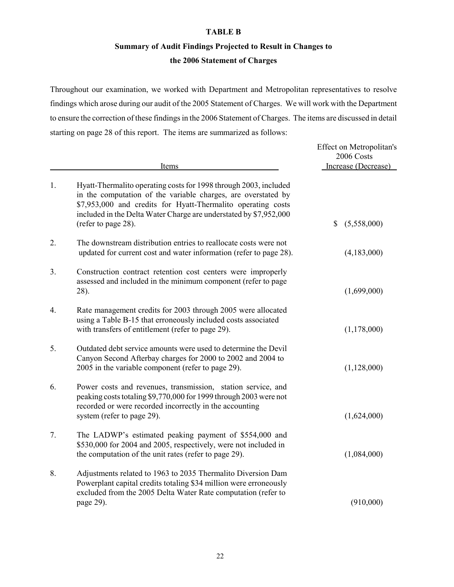### **TABLE B**

# **Summary of Audit Findings Projected to Result in Changes to**

### **the 2006 Statement of Charges**

Throughout our examination, we worked with Department and Metropolitan representatives to resolve findings which arose during our audit of the 2005 Statement of Charges. We will work with the Department to ensure the correction of these findings in the 2006 Statement of Charges. The items are discussed in detail starting on page 28 of this report. The items are summarized as follows:

|    | Items                                                                                                                                                                                                                                                                                         | Effect on Metropolitan's<br>2006 Costs<br>Increase (Decrease) |
|----|-----------------------------------------------------------------------------------------------------------------------------------------------------------------------------------------------------------------------------------------------------------------------------------------------|---------------------------------------------------------------|
| 1. | Hyatt-Thermalito operating costs for 1998 through 2003, included<br>in the computation of the variable charges, are overstated by<br>\$7,953,000 and credits for Hyatt-Thermalito operating costs<br>included in the Delta Water Charge are understated by \$7,952,000<br>(refer to page 28). | (5,558,000)<br>\$                                             |
| 2. | The downstream distribution entries to reallocate costs were not<br>updated for current cost and water information (refer to page 28).                                                                                                                                                        | (4,183,000)                                                   |
| 3. | Construction contract retention cost centers were improperly<br>assessed and included in the minimum component (refer to page<br>28).                                                                                                                                                         | (1,699,000)                                                   |
| 4. | Rate management credits for 2003 through 2005 were allocated<br>using a Table B-15 that erroneously included costs associated<br>with transfers of entitlement (refer to page 29).                                                                                                            | (1,178,000)                                                   |
| 5. | Outdated debt service amounts were used to determine the Devil<br>Canyon Second Afterbay charges for 2000 to 2002 and 2004 to<br>2005 in the variable component (refer to page 29).                                                                                                           | (1,128,000)                                                   |
| 6. | Power costs and revenues, transmission, station service, and<br>peaking costs totaling \$9,770,000 for 1999 through 2003 were not<br>recorded or were recorded incorrectly in the accounting<br>system (refer to page 29).                                                                    | (1,624,000)                                                   |
| 7. | The LADWP's estimated peaking payment of \$554,000 and<br>\$530,000 for 2004 and 2005, respectively, were not included in<br>the computation of the unit rates (refer to page 29).                                                                                                            | (1,084,000)                                                   |
| 8. | Adjustments related to 1963 to 2035 Thermalito Diversion Dam<br>Powerplant capital credits totaling \$34 million were erroneously<br>excluded from the 2005 Delta Water Rate computation (refer to<br>page 29).                                                                               | (910,000)                                                     |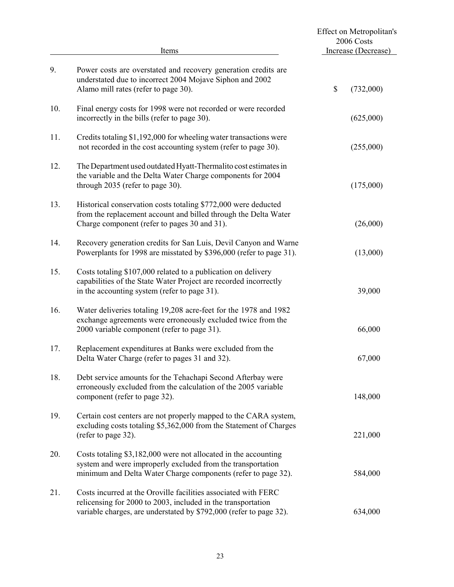|     | Items                                                                                                                                                                                                |      | Effect on Metropolitan's<br>2006 Costs<br>Increase (Decrease) |
|-----|------------------------------------------------------------------------------------------------------------------------------------------------------------------------------------------------------|------|---------------------------------------------------------------|
| 9.  | Power costs are overstated and recovery generation credits are<br>understated due to incorrect 2004 Mojave Siphon and 2002<br>Alamo mill rates (refer to page 30).                                   | $\$$ | (732,000)                                                     |
| 10. | Final energy costs for 1998 were not recorded or were recorded<br>incorrectly in the bills (refer to page 30).                                                                                       |      | (625,000)                                                     |
| 11. | Credits totaling \$1,192,000 for wheeling water transactions were<br>not recorded in the cost accounting system (refer to page 30).                                                                  |      | (255,000)                                                     |
| 12. | The Department used outdated Hyatt-Thermalito cost estimates in<br>the variable and the Delta Water Charge components for 2004<br>through 2035 (refer to page 30).                                   |      | (175,000)                                                     |
| 13. | Historical conservation costs totaling \$772,000 were deducted<br>from the replacement account and billed through the Delta Water<br>Charge component (refer to pages 30 and 31).                    |      | (26,000)                                                      |
| 14. | Recovery generation credits for San Luis, Devil Canyon and Warne<br>Powerplants for 1998 are misstated by \$396,000 (refer to page 31).                                                              |      | (13,000)                                                      |
| 15. | Costs totaling \$107,000 related to a publication on delivery<br>capabilities of the State Water Project are recorded incorrectly<br>in the accounting system (refer to page 31).                    |      | 39,000                                                        |
| 16. | Water deliveries totaling 19,208 acre-feet for the 1978 and 1982<br>exchange agreements were erroneously excluded twice from the<br>2000 variable component (refer to page 31).                      |      | 66,000                                                        |
| 17. | Replacement expenditures at Banks were excluded from the<br>Delta Water Charge (refer to pages 31 and 32).                                                                                           |      | 67,000                                                        |
| 18. | Debt service amounts for the Tehachapi Second Afterbay were<br>erroneously excluded from the calculation of the 2005 variable<br>component (refer to page 32).                                       |      | 148,000                                                       |
| 19. | Certain cost centers are not properly mapped to the CARA system,<br>excluding costs totaling \$5,362,000 from the Statement of Charges<br>(refer to page 32).                                        |      | 221,000                                                       |
| 20. | Costs totaling \$3,182,000 were not allocated in the accounting<br>system and were improperly excluded from the transportation<br>minimum and Delta Water Charge components (refer to page 32).      |      | 584,000                                                       |
| 21. | Costs incurred at the Oroville facilities associated with FERC<br>relicensing for 2000 to 2003, included in the transportation<br>variable charges, are understated by \$792,000 (refer to page 32). |      | 634,000                                                       |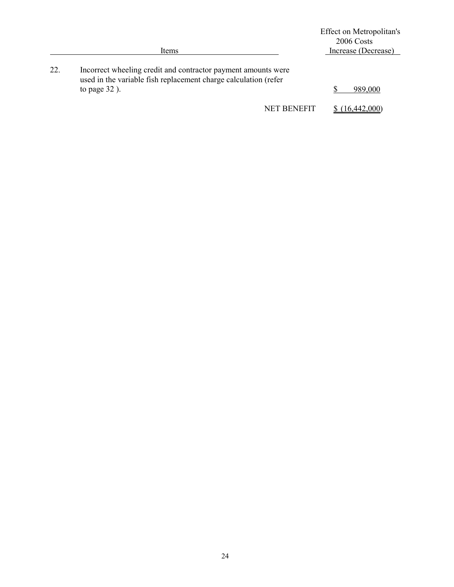|     | Items                                                                                                                                               | Effect on Metropolitan's<br>2006 Costs<br>Increase (Decrease) |
|-----|-----------------------------------------------------------------------------------------------------------------------------------------------------|---------------------------------------------------------------|
| 22. | Incorrect wheeling credit and contractor payment amounts were<br>used in the variable fish replacement charge calculation (refer<br>to page $32$ ). | 989,000                                                       |
|     | <b>NET BENEFIT</b>                                                                                                                                  | (16, 442, 000)                                                |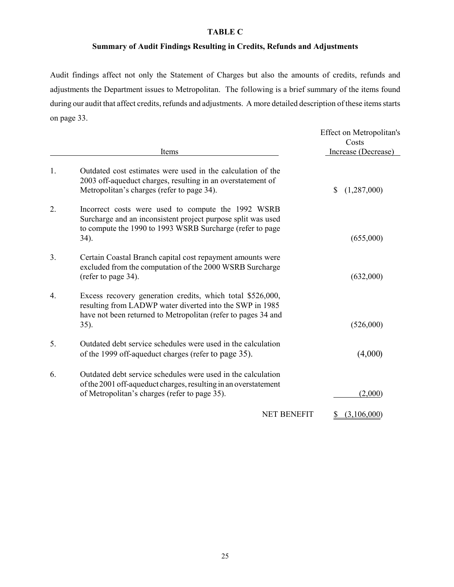## **TABLE C**

# **Summary of Audit Findings Resulting in Credits, Refunds and Adjustments**

Audit findings affect not only the Statement of Charges but also the amounts of credits, refunds and adjustments the Department issues to Metropolitan. The following is a brief summary of the items found during our audit that affect credits, refunds and adjustments. A more detailed description of these items starts on page 33.

|                | Items                                                                                                                                                                                              | Effect on Metropolitan's<br>Costs<br>Increase (Decrease) |
|----------------|----------------------------------------------------------------------------------------------------------------------------------------------------------------------------------------------------|----------------------------------------------------------|
| 1.             | Outdated cost estimates were used in the calculation of the<br>2003 off-aqueduct charges, resulting in an overstatement of<br>Metropolitan's charges (refer to page 34).                           | (1,287,000)<br>\$                                        |
| 2.             | Incorrect costs were used to compute the 1992 WSRB<br>Surcharge and an inconsistent project purpose split was used<br>to compute the 1990 to 1993 WSRB Surcharge (refer to page<br>34).            | (655,000)                                                |
| 3 <sub>1</sub> | Certain Coastal Branch capital cost repayment amounts were<br>excluded from the computation of the 2000 WSRB Surcharge<br>(refer to page 34).                                                      | (632,000)                                                |
| 4.             | Excess recovery generation credits, which total \$526,000,<br>resulting from LADWP water diverted into the SWP in 1985<br>have not been returned to Metropolitan (refer to pages 34 and<br>$35)$ . | (526,000)                                                |
| 5.             | Outdated debt service schedules were used in the calculation<br>of the 1999 off-aqueduct charges (refer to page 35).                                                                               | (4,000)                                                  |
| 6.             | Outdated debt service schedules were used in the calculation<br>of the 2001 off-aqueduct charges, resulting in an overstatement<br>of Metropolitan's charges (refer to page 35).                   | (2,000)                                                  |
|                | <b>NET BENEFIT</b>                                                                                                                                                                                 | (3,106,000)                                              |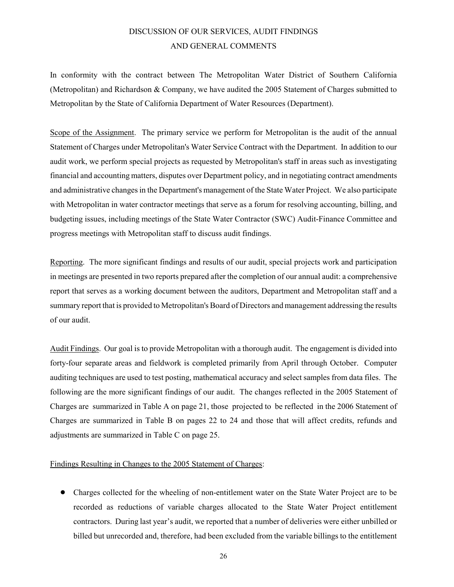# DISCUSSION OF OUR SERVICES, AUDIT FINDINGS AND GENERAL COMMENTS

In conformity with the contract between The Metropolitan Water District of Southern California (Metropolitan) and Richardson & Company, we have audited the 2005 Statement of Charges submitted to Metropolitan by the State of California Department of Water Resources (Department).

Scope of the Assignment. The primary service we perform for Metropolitan is the audit of the annual Statement of Charges under Metropolitan's Water Service Contract with the Department. In addition to our audit work, we perform special projects as requested by Metropolitan's staff in areas such as investigating financial and accounting matters, disputes over Department policy, and in negotiating contract amendments and administrative changes in the Department's management of the State Water Project. We also participate with Metropolitan in water contractor meetings that serve as a forum for resolving accounting, billing, and budgeting issues, including meetings of the State Water Contractor (SWC) Audit-Finance Committee and progress meetings with Metropolitan staff to discuss audit findings.

Reporting. The more significant findings and results of our audit, special projects work and participation in meetings are presented in two reports prepared after the completion of our annual audit: a comprehensive report that serves as a working document between the auditors, Department and Metropolitan staff and a summary report that is provided to Metropolitan's Board of Directors and management addressing the results of our audit.

Audit Findings. Our goal is to provide Metropolitan with a thorough audit. The engagement is divided into forty-four separate areas and fieldwork is completed primarily from April through October. Computer auditing techniques are used to test posting, mathematical accuracy and select samples from data files. The following are the more significant findings of our audit. The changes reflected in the 2005 Statement of Charges are summarized in Table A on page 21, those projected to be reflected in the 2006 Statement of Charges are summarized in Table B on pages 22 to 24 and those that will affect credits, refunds and adjustments are summarized in Table C on page 25.

### Findings Resulting in Changes to the 2005 Statement of Charges:

• Charges collected for the wheeling of non-entitlement water on the State Water Project are to be recorded as reductions of variable charges allocated to the State Water Project entitlement contractors. During last year's audit, we reported that a number of deliveries were either unbilled or billed but unrecorded and, therefore, had been excluded from the variable billings to the entitlement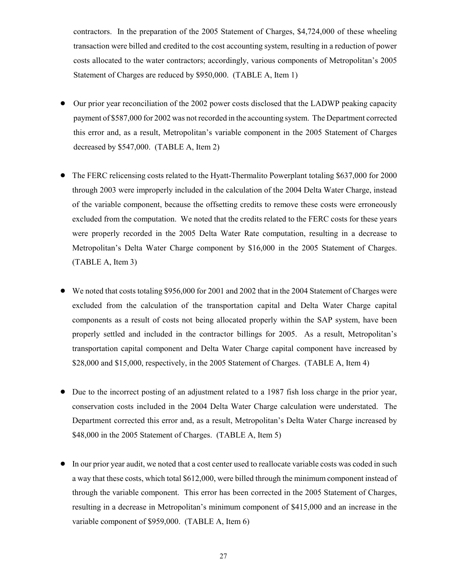contractors. In the preparation of the 2005 Statement of Charges, \$4,724,000 of these wheeling transaction were billed and credited to the cost accounting system, resulting in a reduction of power costs allocated to the water contractors; accordingly, various components of Metropolitan's 2005 Statement of Charges are reduced by \$950,000. (TABLE A, Item 1)

- ! Our prior year reconciliation of the 2002 power costs disclosed that the LADWP peaking capacity payment of \$587,000 for 2002 was not recorded in the accounting system. The Department corrected this error and, as a result, Metropolitan's variable component in the 2005 Statement of Charges decreased by \$547,000. (TABLE A, Item 2)
- ! The FERC relicensing costs related to the Hyatt-Thermalito Powerplant totaling \$637,000 for 2000 through 2003 were improperly included in the calculation of the 2004 Delta Water Charge, instead of the variable component, because the offsetting credits to remove these costs were erroneously excluded from the computation. We noted that the credits related to the FERC costs for these years were properly recorded in the 2005 Delta Water Rate computation, resulting in a decrease to Metropolitan's Delta Water Charge component by \$16,000 in the 2005 Statement of Charges. (TABLE A, Item 3)
- We noted that costs totaling \$956,000 for 2001 and 2002 that in the 2004 Statement of Charges were excluded from the calculation of the transportation capital and Delta Water Charge capital components as a result of costs not being allocated properly within the SAP system, have been properly settled and included in the contractor billings for 2005. As a result, Metropolitan's transportation capital component and Delta Water Charge capital component have increased by \$28,000 and \$15,000, respectively, in the 2005 Statement of Charges. (TABLE A, Item 4)
- ! Due to the incorrect posting of an adjustment related to a 1987 fish loss charge in the prior year, conservation costs included in the 2004 Delta Water Charge calculation were understated. The Department corrected this error and, as a result, Metropolitan's Delta Water Charge increased by \$48,000 in the 2005 Statement of Charges. (TABLE A, Item 5)
- ! In our prior year audit, we noted that a cost center used to reallocate variable costs was coded in such a way that these costs, which total \$612,000, were billed through the minimum component instead of through the variable component. This error has been corrected in the 2005 Statement of Charges, resulting in a decrease in Metropolitan's minimum component of \$415,000 and an increase in the variable component of \$959,000. (TABLE A, Item 6)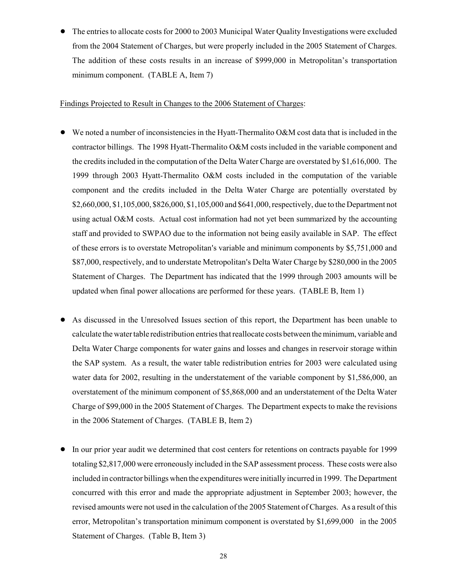• The entries to allocate costs for 2000 to 2003 Municipal Water Quality Investigations were excluded from the 2004 Statement of Charges, but were properly included in the 2005 Statement of Charges. The addition of these costs results in an increase of \$999,000 in Metropolitan's transportation minimum component. (TABLE A, Item 7)

### Findings Projected to Result in Changes to the 2006 Statement of Charges:

- We noted a number of inconsistencies in the Hyatt-Thermalito O&M cost data that is included in the contractor billings. The 1998 Hyatt-Thermalito O&M costs included in the variable component and the credits included in the computation of the Delta Water Charge are overstated by \$1,616,000. The 1999 through 2003 Hyatt-Thermalito O&M costs included in the computation of the variable component and the credits included in the Delta Water Charge are potentially overstated by \$2,660,000, \$1,105,000, \$826,000, \$1,105,000 and \$641,000, respectively, due to the Department not using actual O&M costs. Actual cost information had not yet been summarized by the accounting staff and provided to SWPAO due to the information not being easily available in SAP. The effect of these errors is to overstate Metropolitan's variable and minimum components by \$5,751,000 and \$87,000, respectively, and to understate Metropolitan's Delta Water Charge by \$280,000 in the 2005 Statement of Charges. The Department has indicated that the 1999 through 2003 amounts will be updated when final power allocations are performed for these years. (TABLE B, Item 1)
- ! As discussed in the Unresolved Issues section of this report, the Department has been unable to calculate the water table redistribution entries that reallocate costs between the minimum, variable and Delta Water Charge components for water gains and losses and changes in reservoir storage within the SAP system. As a result, the water table redistribution entries for 2003 were calculated using water data for 2002, resulting in the understatement of the variable component by \$1,586,000, an overstatement of the minimum component of \$5,868,000 and an understatement of the Delta Water Charge of \$99,000 in the 2005 Statement of Charges. The Department expects to make the revisions in the 2006 Statement of Charges. (TABLE B, Item 2)
- ! In our prior year audit we determined that cost centers for retentions on contracts payable for 1999 totaling \$2,817,000 were erroneously included in the SAP assessment process. These costs were also included in contractor billings when the expenditures were initially incurred in 1999. The Department concurred with this error and made the appropriate adjustment in September 2003; however, the revised amounts were not used in the calculation of the 2005 Statement of Charges. As a result of this error, Metropolitan's transportation minimum component is overstated by \$1,699,000 in the 2005 Statement of Charges. (Table B, Item 3)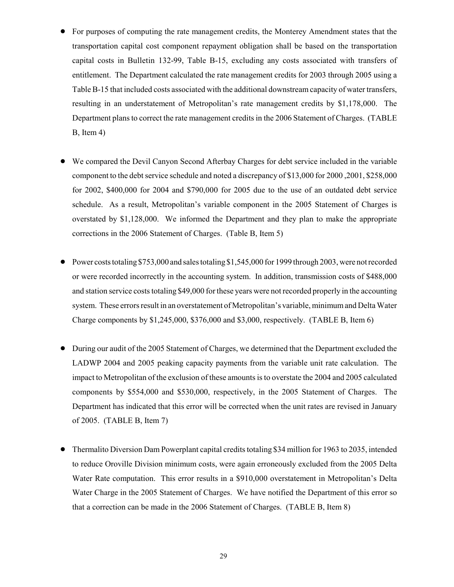- ! For purposes of computing the rate management credits, the Monterey Amendment states that the transportation capital cost component repayment obligation shall be based on the transportation capital costs in Bulletin 132-99, Table B-15, excluding any costs associated with transfers of entitlement. The Department calculated the rate management credits for 2003 through 2005 using a Table B-15 that included costs associated with the additional downstream capacity of water transfers, resulting in an understatement of Metropolitan's rate management credits by \$1,178,000. The Department plans to correct the rate management credits in the 2006 Statement of Charges. (TABLE B, Item 4)
- ! We compared the Devil Canyon Second Afterbay Charges for debt service included in the variable component to the debt service schedule and noted a discrepancy of \$13,000 for 2000 ,2001, \$258,000 for 2002, \$400,000 for 2004 and \$790,000 for 2005 due to the use of an outdated debt service schedule. As a result, Metropolitan's variable component in the 2005 Statement of Charges is overstated by \$1,128,000. We informed the Department and they plan to make the appropriate corrections in the 2006 Statement of Charges. (Table B, Item 5)
- $\bullet$  Power costs totaling \$753,000 and sales totaling \$1,545,000 for 1999 through 2003, were not recorded or were recorded incorrectly in the accounting system. In addition, transmission costs of \$488,000 and station service costs totaling \$49,000 for these years were not recorded properly in the accounting system. These errors result in an overstatement of Metropolitan's variable, minimum and Delta Water Charge components by \$1,245,000, \$376,000 and \$3,000, respectively. (TABLE B, Item 6)
- During our audit of the 2005 Statement of Charges, we determined that the Department excluded the LADWP 2004 and 2005 peaking capacity payments from the variable unit rate calculation. The impact to Metropolitan of the exclusion of these amounts is to overstate the 2004 and 2005 calculated components by \$554,000 and \$530,000, respectively, in the 2005 Statement of Charges. The Department has indicated that this error will be corrected when the unit rates are revised in January of 2005. (TABLE B, Item 7)
- Thermalito Diversion Dam Powerplant capital credits totaling \$34 million for 1963 to 2035, intended to reduce Oroville Division minimum costs, were again erroneously excluded from the 2005 Delta Water Rate computation. This error results in a \$910,000 overstatement in Metropolitan's Delta Water Charge in the 2005 Statement of Charges. We have notified the Department of this error so that a correction can be made in the 2006 Statement of Charges. (TABLE B, Item 8)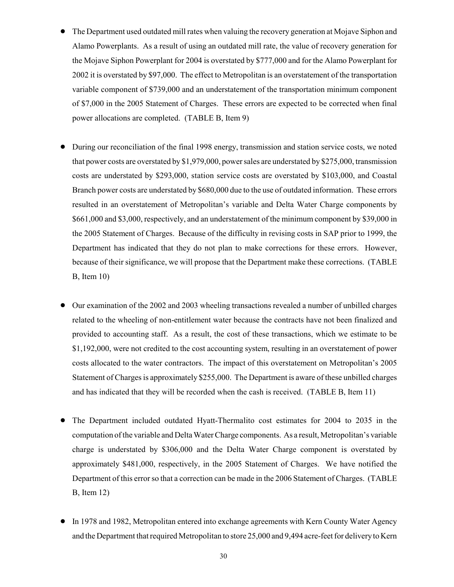- The Department used outdated mill rates when valuing the recovery generation at Mojave Siphon and Alamo Powerplants. As a result of using an outdated mill rate, the value of recovery generation for the Mojave Siphon Powerplant for 2004 is overstated by \$777,000 and for the Alamo Powerplant for 2002 it is overstated by \$97,000. The effect to Metropolitan is an overstatement of the transportation variable component of \$739,000 and an understatement of the transportation minimum component of \$7,000 in the 2005 Statement of Charges. These errors are expected to be corrected when final power allocations are completed. (TABLE B, Item 9)
- ! During our reconciliation of the final 1998 energy, transmission and station service costs, we noted that power costs are overstated by \$1,979,000, power sales are understated by \$275,000, transmission costs are understated by \$293,000, station service costs are overstated by \$103,000, and Coastal Branch power costs are understated by \$680,000 due to the use of outdated information. These errors resulted in an overstatement of Metropolitan's variable and Delta Water Charge components by \$661,000 and \$3,000, respectively, and an understatement of the minimum component by \$39,000 in the 2005 Statement of Charges. Because of the difficulty in revising costs in SAP prior to 1999, the Department has indicated that they do not plan to make corrections for these errors. However, because of their significance, we will propose that the Department make these corrections. (TABLE B, Item 10)
- Our examination of the 2002 and 2003 wheeling transactions revealed a number of unbilled charges related to the wheeling of non-entitlement water because the contracts have not been finalized and provided to accounting staff. As a result, the cost of these transactions, which we estimate to be \$1,192,000, were not credited to the cost accounting system, resulting in an overstatement of power costs allocated to the water contractors. The impact of this overstatement on Metropolitan's 2005 Statement of Charges is approximately \$255,000. The Department is aware of these unbilled charges and has indicated that they will be recorded when the cash is received. (TABLE B, Item 11)
- ! The Department included outdated Hyatt-Thermalito cost estimates for 2004 to 2035 in the computation of the variable and Delta Water Charge components. As a result, Metropolitan's variable charge is understated by \$306,000 and the Delta Water Charge component is overstated by approximately \$481,000, respectively, in the 2005 Statement of Charges. We have notified the Department of this error so that a correction can be made in the 2006 Statement of Charges. (TABLE B, Item 12)
- In 1978 and 1982, Metropolitan entered into exchange agreements with Kern County Water Agency and the Department that required Metropolitan to store 25,000 and 9,494 acre-feet for delivery to Kern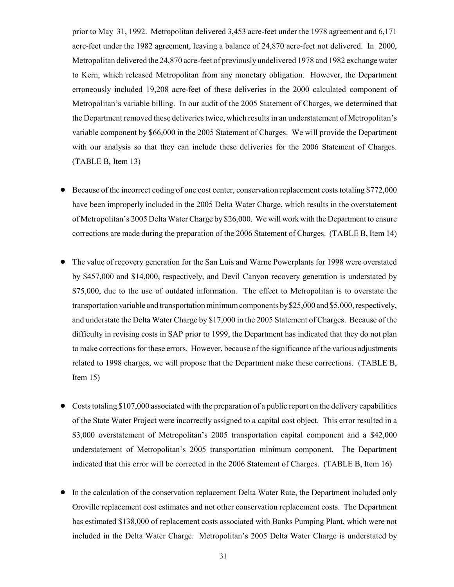prior to May 31, 1992. Metropolitan delivered 3,453 acre-feet under the 1978 agreement and 6,171 acre-feet under the 1982 agreement, leaving a balance of 24,870 acre-feet not delivered. In 2000, Metropolitan delivered the 24,870 acre-feet of previously undelivered 1978 and 1982 exchange water to Kern, which released Metropolitan from any monetary obligation. However, the Department erroneously included 19,208 acre-feet of these deliveries in the 2000 calculated component of Metropolitan's variable billing. In our audit of the 2005 Statement of Charges, we determined that the Department removed these deliveries twice, which results in an understatement of Metropolitan's variable component by \$66,000 in the 2005 Statement of Charges. We will provide the Department with our analysis so that they can include these deliveries for the 2006 Statement of Charges. (TABLE B, Item 13)

- ! Because of the incorrect coding of one cost center, conservation replacement costs totaling \$772,000 have been improperly included in the 2005 Delta Water Charge, which results in the overstatement of Metropolitan's 2005 Delta Water Charge by \$26,000. We will work with the Department to ensure corrections are made during the preparation of the 2006 Statement of Charges. (TABLE B, Item 14)
- ! The value of recovery generation for the San Luis and Warne Powerplants for 1998 were overstated by \$457,000 and \$14,000, respectively, and Devil Canyon recovery generation is understated by \$75,000, due to the use of outdated information. The effect to Metropolitan is to overstate the transportation variable and transportation minimum components by \$25,000 and \$5,000, respectively, and understate the Delta Water Charge by \$17,000 in the 2005 Statement of Charges. Because of the difficulty in revising costs in SAP prior to 1999, the Department has indicated that they do not plan to make corrections for these errors. However, because of the significance of the various adjustments related to 1998 charges, we will propose that the Department make these corrections. (TABLE B, Item 15)
- ! Costs totaling \$107,000 associated with the preparation of a public report on the delivery capabilities of the State Water Project were incorrectly assigned to a capital cost object. This error resulted in a \$3,000 overstatement of Metropolitan's 2005 transportation capital component and a \$42,000 understatement of Metropolitan's 2005 transportation minimum component. The Department indicated that this error will be corrected in the 2006 Statement of Charges. (TABLE B, Item 16)
- ! In the calculation of the conservation replacement Delta Water Rate, the Department included only Oroville replacement cost estimates and not other conservation replacement costs. The Department has estimated \$138,000 of replacement costs associated with Banks Pumping Plant, which were not included in the Delta Water Charge. Metropolitan's 2005 Delta Water Charge is understated by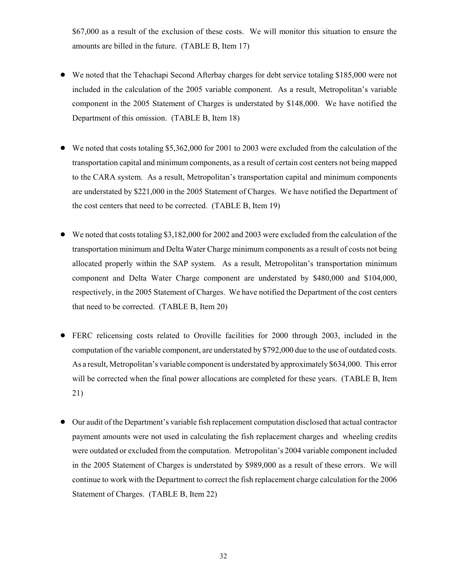\$67,000 as a result of the exclusion of these costs. We will monitor this situation to ensure the amounts are billed in the future. (TABLE B, Item 17)

- ! We noted that the Tehachapi Second Afterbay charges for debt service totaling \$185,000 were not included in the calculation of the 2005 variable component. As a result, Metropolitan's variable component in the 2005 Statement of Charges is understated by \$148,000. We have notified the Department of this omission. (TABLE B, Item 18)
- $\bullet$  We noted that costs totaling \$5,362,000 for 2001 to 2003 were excluded from the calculation of the transportation capital and minimum components, as a result of certain cost centers not being mapped to the CARA system. As a result, Metropolitan's transportation capital and minimum components are understated by \$221,000 in the 2005 Statement of Charges. We have notified the Department of the cost centers that need to be corrected. (TABLE B, Item 19)
- We noted that costs totaling \$3,182,000 for 2002 and 2003 were excluded from the calculation of the transportation minimum and Delta Water Charge minimum components as a result of costs not being allocated properly within the SAP system. As a result, Metropolitan's transportation minimum component and Delta Water Charge component are understated by \$480,000 and \$104,000, respectively, in the 2005 Statement of Charges. We have notified the Department of the cost centers that need to be corrected. (TABLE B, Item 20)
- ! FERC relicensing costs related to Oroville facilities for 2000 through 2003, included in the computation of the variable component, are understated by \$792,000 due to the use of outdated costs. As a result, Metropolitan's variable component is understated by approximately \$634,000. This error will be corrected when the final power allocations are completed for these years. (TABLE B, Item 21)
- ! Our audit of the Department's variable fish replacement computation disclosed that actual contractor payment amounts were not used in calculating the fish replacement charges and wheeling credits were outdated or excluded from the computation. Metropolitan's 2004 variable component included in the 2005 Statement of Charges is understated by \$989,000 as a result of these errors. We will continue to work with the Department to correct the fish replacement charge calculation for the 2006 Statement of Charges. (TABLE B, Item 22)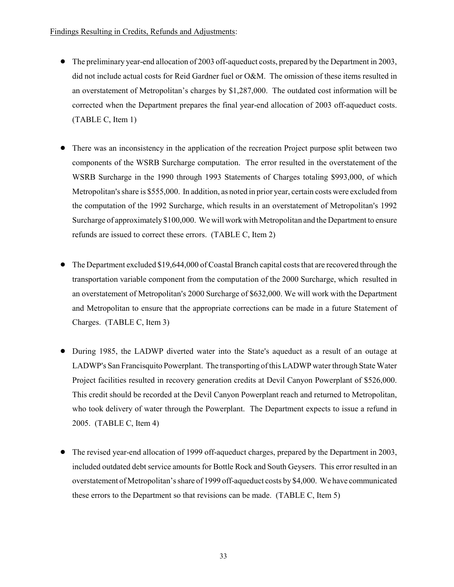- The preliminary year-end allocation of 2003 off-aqueduct costs, prepared by the Department in 2003, did not include actual costs for Reid Gardner fuel or O&M. The omission of these items resulted in an overstatement of Metropolitan's charges by \$1,287,000. The outdated cost information will be corrected when the Department prepares the final year-end allocation of 2003 off-aqueduct costs. (TABLE C, Item 1)
- ! There was an inconsistency in the application of the recreation Project purpose split between two components of the WSRB Surcharge computation. The error resulted in the overstatement of the WSRB Surcharge in the 1990 through 1993 Statements of Charges totaling \$993,000, of which Metropolitan's share is \$555,000. In addition, as noted in prior year, certain costs were excluded from the computation of the 1992 Surcharge, which results in an overstatement of Metropolitan's 1992 Surcharge of approximately \$100,000. We will work with Metropolitan and the Department to ensure refunds are issued to correct these errors. (TABLE C, Item 2)
- ! The Department excluded \$19,644,000 of Coastal Branch capital costs that are recovered through the transportation variable component from the computation of the 2000 Surcharge, which resulted in an overstatement of Metropolitan's 2000 Surcharge of \$632,000. We will work with the Department and Metropolitan to ensure that the appropriate corrections can be made in a future Statement of Charges. (TABLE C, Item 3)
- During 1985, the LADWP diverted water into the State's aqueduct as a result of an outage at LADWP's San Francisquito Powerplant. The transporting of this LADWP water through State Water Project facilities resulted in recovery generation credits at Devil Canyon Powerplant of \$526,000. This credit should be recorded at the Devil Canyon Powerplant reach and returned to Metropolitan, who took delivery of water through the Powerplant. The Department expects to issue a refund in 2005. (TABLE C, Item 4)
- ! The revised year-end allocation of 1999 off-aqueduct charges, prepared by the Department in 2003, included outdated debt service amounts for Bottle Rock and South Geysers. This error resulted in an overstatement of Metropolitan's share of 1999 off-aqueduct costs by \$4,000. We have communicated these errors to the Department so that revisions can be made. (TABLE C, Item 5)